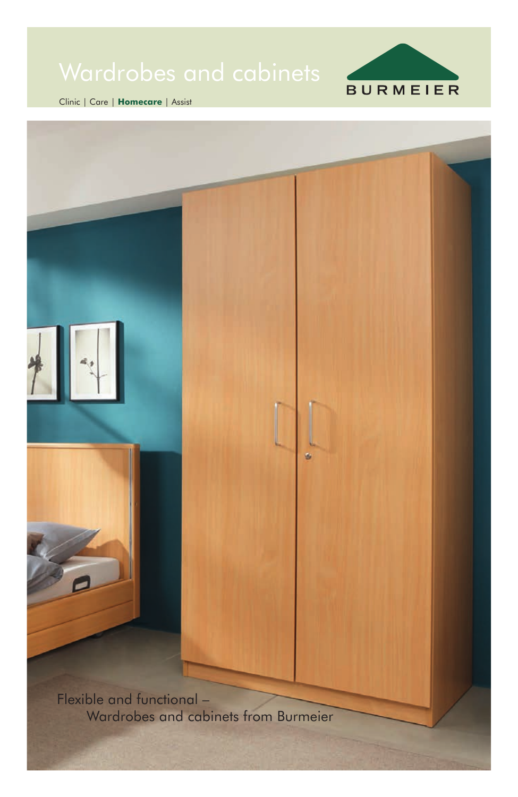

Clinic | Care | **Homecare** | Assist

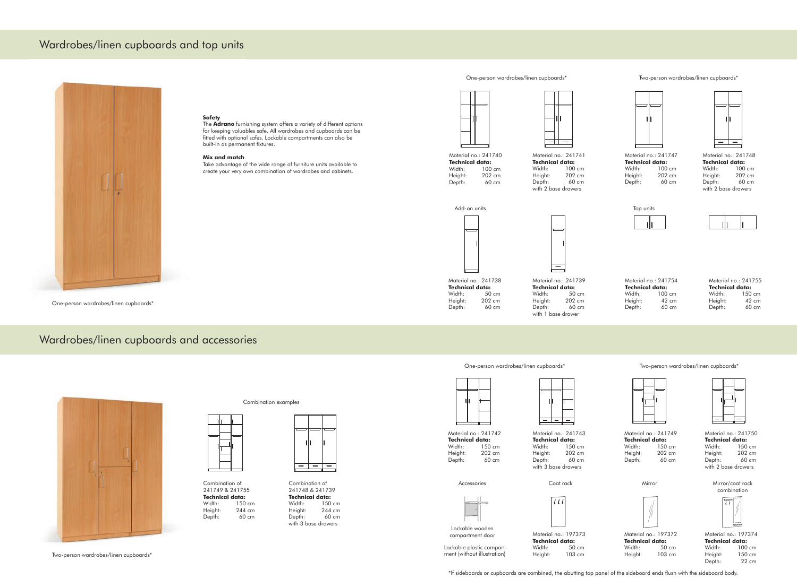### Wardrobes/linen cupboards and accessories



# Wardrobes/linen cupboards and top units



### **Safety**

The **Adrano** furnishing system offers a variety of different options for keeping valuables safe. All wardrobes and cupboards can be fitted with optional safes. Lockable compartments can also be built-in as permanent fixtures.

> Material no.: 241738 **Technical data:** Width: 50 cm Height: 202 cm Depth: 60 cm

#### **Mix and match**

Material no.: 241754 **Technical data:** Width: 100 cm Height: 42 cm Depth: 60 cm

Take advantage of the wide range of furniture units available to create your very own combination of wardrobes and cabinets.

One-person wardrobes/linen cupboards\*

One-person wardrobes/linen cupboards\* Two-person wardrobes/linen cupboards\*



Material no.: 241740 **Technical data:**<br>Width: 100 100 cm Height: 202 cm<br>Depth: 60 cm 60 cm -- 11

Material no.: 241739 **Technical data:** Width: 50 cm Height: 202 cm<br>Depth: 60 cm Depth: with 1 base drawer

 $\hspace{0.1mm}-\hspace{0.1mm}$ 

Material no.: 241742 **Technical data:** Width: 150 cm Height: 202 cm Depth: 60 cm

Material no.: 241755 **Technical data:** Width: 150 cm Height: 42 cm Depth: 60 cm

Material no.: 197374 **Technical data:**<br>Width: 100 Width: 100 cm<br>Height: 150 cm 150 cm<br>22 cm Depth:

Material no.: 241741 **Technical data:**<br>Width: 100 100 cm Height: 202 cm Depth: 60 cm with 2 base drawers

Material no.: 241748 **Technical data:**<br>Width: 100 100 cm Height: 202 cm Depth: 60 cm with 2 base drawers



Material no.: 241747 **Technical data:**<br>Width: 100 100 cm Height: 202 cm Depth: 60 cm





Combination examples

Combination of 241749 & 241755 **Technical data:** 150 cm Height: 244 cm Depth: 60 cm



Combination of 241748 & 241739 **Technical data:** 150 cm Height: 244 cm<br>Depth: 60 cm  $Depth:$ with 3 base drawers



Two-person wardrobes/linen cupboards\*

One-person wardrobes/linen cupboards\* Two-person wardrobes/linen cupboards\*



Material no.: 197373 **Technical data:**<br>Width: 50 50 cm Height: 103 cm Material no.: 197372 **Technical data:**<br>Width: 50 50 cm Height: 103 cm



Lockable plastic compartment (without illustration)

<u> په اپن کال کې</u>



Material no.: 241749 **Technical data:** Width: 150 cm Height: 202 cm Depth: 60 cm



Material no.: 241743 **Technical data:** Width: 150 cm Height: 202 cm Depth: 60 cm with 3 base drawers





Material no.: 241750 **Technical data:** Width: 150 cm Height: 202 cm Depth: 60 cm with 2 base drawers

Lockable wooden compartment door



Accessories Coat rack Mirror Mirror/coat rack combination